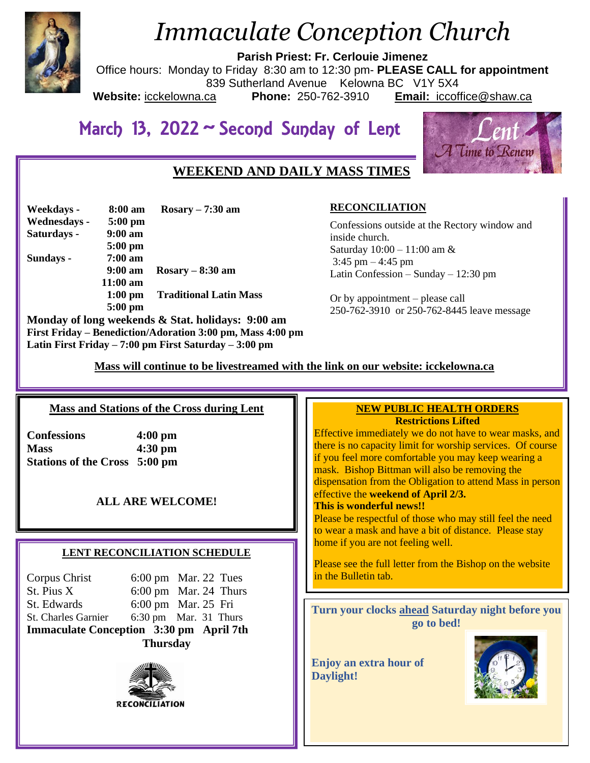

# *Immaculate Conception Church*

**Parish Priest: Fr. Cerlouie Jimenez**

Office hours: Monday to Friday 8:30 am to 12:30 pm- **PLEASE CALL for appointment** 839 Sutherland Avenue Kelowna BC V1Y 5X4<br>ca **Phone:** 250-762-3910 **Email:** iccofi **Website:** icckelowna.ca **Phone:** 250-762-3910 **Email:** iccoffice@shaw.ca

# March 13, 2022 ~ Second Sunday of Lent



# **WEEKEND AND DAILY MASS TIMES**

| Weekdays -   | 8:00 am           | $Rosary - 7:30 am$                                |
|--------------|-------------------|---------------------------------------------------|
| Wednesdays - | $5:00$ pm         |                                                   |
| Saturdays -  | $9:00 \text{ am}$ |                                                   |
|              | $5:00$ pm         |                                                   |
| Sundays -    | $7:00 \text{ am}$ |                                                   |
|              | $9:00 \text{ am}$ | $Rosary - 8:30$ am                                |
|              | $11:00$ am        |                                                   |
|              | $1:00$ pm         | <b>Traditional Latin Mass</b>                     |
|              | $5:00$ pm         |                                                   |
|              |                   | Monday of long weekends & Stat. holidays: 9:00 am |

**RECONCILIATION**

Confessions outside at the Rectory window and inside church. Saturday 10:00 – 11:00 am &  $3:45$  pm  $-4:45$  pm Latin Confession – Sunday – 12:30 pm

Or by appointment – please call 250-762-3910 or 250-762-8445 leave message

 **Mass will continue to be livestreamed with the link on our website: icckelowna.ca**

 $\overline{a}$ 

#### **Mass and Stations of the Cross during Lent**

**First Friday – Benediction/Adoration 3:00 pm, Mass 4:00 pm**

**Latin First Friday – 7:00 pm First Saturday – 3:00 pm** 

**Confessions 4:00 pm Mass 4:30 pm Stations of the Cross 5:00 pm**

# **ALL ARE WELCOME!**

#### **LENT RECONCILIATION SCHEDULE**

| <b>Thursday</b>                         |  |                                 |  |
|-----------------------------------------|--|---------------------------------|--|
| Immaculate Conception 3:30 pm April 7th |  |                                 |  |
| St. Charles Garnier                     |  | $6:30 \text{ pm}$ Mar. 31 Thurs |  |
| St. Edwards                             |  | 6:00 pm Mar. 25 Fri             |  |
| St. Pius X                              |  | 6:00 pm Mar. 24 Thurs           |  |
| Corpus Christ                           |  | $6:00 \text{ pm}$ Mar. 22 Tues  |  |



#### **NEW PUBLIC HEALTH ORDERS Restrictions Lifted**

Effective immediately we do not have to wear masks, and there is no capacity limit for worship services. Of course if you feel more comfortable you may keep wearing a mask. Bishop Bittman will also be removing the dispensation from the Obligation to attend Mass in person effective the **weekend of April 2/3.**

#### **This is wonderful news!!**

Please be respectful of those who may still feel the need to wear a mask and have a bit of distance. Please stay home if you are not feeling well.

Please see the full letter from the Bishop on the website in the Bulletin tab.

**Turn your clocks ahead Saturday night before you go to bed!**

**Enjoy an extra hour of Daylight!**

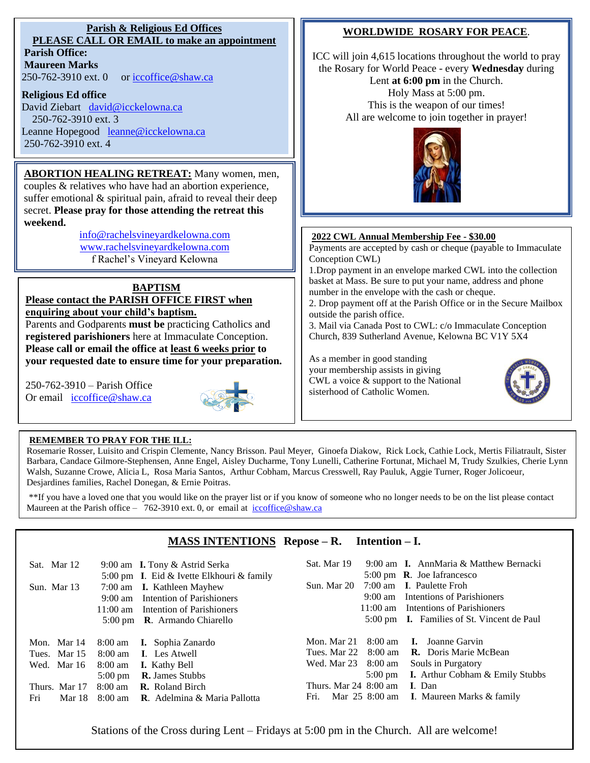## **Parish & Religious Ed Offices PLEASE CALL OR EMAIL to make an appointment**

**Parish Office: Maureen Marks**  250-762-3910 ext. 0 or [iccoffice@shaw.ca](mailto:iccoffice@shaw.ca)

#### **Religious Ed office**

David Ziebart david@icckelowna.ca 250-762-3910 ext. 3 Leanne Hopegood [leanne@icckelowna.ca](mailto:leanne@icckelowna.ca) 250-762-3910 ext. 4

# **ABORTION HEALING RETREAT:** Many women, men,

couples & relatives who have had an abortion experience, suffer emotional & spiritual pain, afraid to reveal their deep secret. **Please pray for those attending the retreat this weekend.**

> [info@rachelsvineyardkelowna.com](mailto:info@rachelsvineyardkelowna.com) [www.rachelsvineyardkelowna.com](http://www.rachelsvineyardkelowna.com/) f Rachel's Vineyard Kelowna

> > 250-762-2273

#### **BAPTISM Please contact the PARISH OFFICE FIRST when**

**enquiring about your child's baptism.**  Parents and Godparents **must be** practicing Catholics and **registered parishioners** here at Immaculate Conception.

**Please call or email the office at least 6 weeks prior to your requested date to ensure time for your preparation.** 

250-762-3910 – Parish Office Or email  $iccoffice@shaw.ca$ 

l



# **WORLDWIDE ROSARY FOR PEACE**.

ICC will join 4,615 locations throughout the world to pray the Rosary for World Peace - every **Wednesday** during Lent **at 6:00 pm** in the Church. Holy Mass at 5:00 pm. This is the weapon of our times! All are welcome to join together in prayer!



#### **2022 CWL Annual Membership Fee - \$30.00**

Payments are accepted by cash or cheque (payable to Immaculate Conception CWL) 1.Drop payment in an envelope marked CWL into the collection basket at Mass. Be sure to put your name, address and phone number in the envelope with the cash or cheque. 2. Drop payment off at the Parish Office or in the Secure Mailbox outside the parish office. 3. Mail via Canada Post to CWL: c/o Immaculate Conception Church, 839 Sutherland Avenue, Kelowna BC V1Y 5X4

As a member in good standing your membership assists in giving CWL a voice & support to the National sisterhood of Catholic Women.



#### **REMEMBER TO PRAY FOR THE ILL:**

Rosemarie Rosser, Luisito and Crispin Clemente, Nancy Brisson. Paul Meyer, Ginoefa Diakow, Rick Lock, Cathie Lock, Mertis Filiatrault, Sister Barbara, Candace Gilmore-Stephensen, Anne Engel, Aisley Ducharme, Tony Lunelli, Catherine Fortunat, Michael M, Trudy Szulkies, Cherie Lynn Walsh, Suzanne Crowe, Alicia L, Rosa Maria Santos, Arthur Cobham, Marcus Cresswell, Ray Pauluk, Aggie Turner, Roger Jolicoeur, Desjardines families, Rachel Donegan, & Ernie Poitras.

\*\*If you have a loved one that you would like on the prayer list or if you know of someone who no longer needs to be on the list please contact Maureen at the Parish office – 762-3910 ext. 0, or email at iccoffice@shaw.ca

# **MASS INTENTIONS Repose – R. Intention – I.**

| Sat. Mar 12<br>Sun. Mar 13 | $9:00 \text{ am}$ | 9:00 am <b>I.</b> Tony & Astrid Serka<br>5:00 pm I. Eid & Ivette Elkhouri & family<br>7:00 am <b>I.</b> Kathleen Mayhew<br>Intention of Parishioners | Sat. Mar 19               | $9:00 \text{ am}$  | 9:00 am <b>I.</b> AnnMaria & Matthew Bernacki<br>$5:00 \text{ pm}$ R. Joe Iafrancesco<br>Sun. Mar 20 7:00 am I. Paulette Froh<br>Intentions of Parishioners |
|----------------------------|-------------------|------------------------------------------------------------------------------------------------------------------------------------------------------|---------------------------|--------------------|-------------------------------------------------------------------------------------------------------------------------------------------------------------|
|                            |                   | 11:00 am Intention of Parishioners<br>5:00 pm <b>R</b> . Armando Chiarello                                                                           |                           | $11:00 \text{ am}$ | Intentions of Parishioners<br>5:00 pm <b>I.</b> Families of St. Vincent de Paul                                                                             |
|                            |                   |                                                                                                                                                      |                           |                    |                                                                                                                                                             |
| Mon. Mar 14                |                   | 8:00 am <b>I.</b> Sophia Zanardo                                                                                                                     | Mon. Mar 21               |                    | 8:00 am <b>I.</b> Joanne Garvin                                                                                                                             |
| Tues. Mar 15               |                   | 8:00 am I. Les Atwell                                                                                                                                | Tues. Mar 22              |                    | 8:00 am <b>R.</b> Doris Marie McBean                                                                                                                        |
| Wed. Mar 16                | 8:00 am           | <b>I.</b> Kathy Bell                                                                                                                                 | Wed. Mar 23 8:00 am       |                    | Souls in Purgatory                                                                                                                                          |
|                            | $5:00 \text{ pm}$ | <b>R.</b> James Stubbs                                                                                                                               |                           |                    | 5:00 pm <b>I.</b> Arthur Cobham & Emily Stubbs                                                                                                              |
| Thurs. Mar 17              |                   | $8:00$ am <b>R.</b> Roland Birch                                                                                                                     | Thurs. Mar $24\,$ 8:00 am |                    | <b>I</b> . Dan                                                                                                                                              |
| Fri<br>Mar 18              |                   | 8:00 am R. Adelmina & Maria Pallotta                                                                                                                 |                           |                    | Fri. Mar 25 8:00 am I. Maureen Marks & family                                                                                                               |

Stations of the Cross during Lent – Fridays at 5:00 pm in the Church. All are welcome!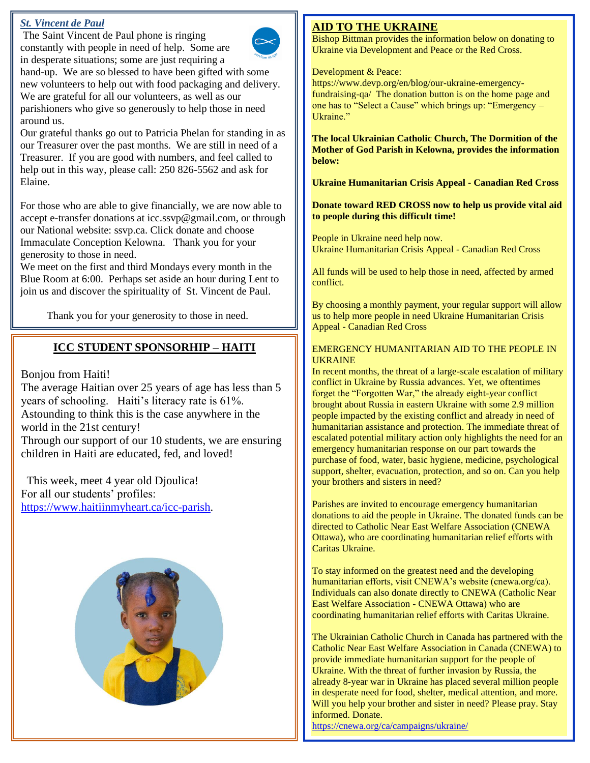### *St. Vincent de Paul*

The Saint Vincent de Paul phone is ringing constantly with people in need of help. Some are in desperate situations; some are just requiring a hand-up. We are so blessed to have been gifted with some new volunteers to help out with food packaging and delivery. We are grateful for all our volunteers, as well as our parishioners who give so generously to help those in need around us.

Our grateful thanks go out to Patricia Phelan for standing in as our Treasurer over the past months. We are still in need of a Treasurer. If you are good with numbers, and feel called to help out in this way, please call: 250 826-5562 and ask for Elaine.

For those who are able to give financially, we are now able to accept e-transfer donations at icc.ssvp@gmail.com, or through our National website: ssvp.ca. Click donate and choose Immaculate Conception Kelowna. Thank you for your generosity to those in need.

We meet on the first and third Mondays every month in the Blue Room at 6:00. Perhaps set aside an hour during Lent to join us and discover the spirituality of St. Vincent de Paul.

Thank you for your generosity to those in need.

# **ICC STUDENT SPONSORHIP – HAITI**

Bonjou from Haiti!

The average Haitian over 25 years of age has less than 5 years of schooling. Haiti's literacy rate is 61%. Astounding to think this is the case anywhere in the world in the 21st century! Through our support of our 10 students, we are ensuring

children in Haiti are educated, fed, and loved!

 This week, meet 4 year old Djoulica! For all our students' profiles: [https://www.haitiinmyheart.ca/icc-parish.](https://www.haitiinmyheart.ca/icc-parish)



## **AID TO THE UKRAINE**

Bishop Bittman provides the information below on donating to Ukraine via Development and Peace or the Red Cross.

#### Development & Peace:

https://www.devp.org/en/blog/our-ukraine-emergencyfundraising-qa/ The donation button is on the home page and one has to "Select a Cause" which brings up: "Emergency – Ukraine."

**The local Ukrainian Catholic Church, The Dormition of the Mother of God Parish in Kelowna, provides the information below:**

**Ukraine Humanitarian Crisis Appeal - Canadian Red Cross**

**Donate toward RED CROSS now to help us provide vital aid to people during this difficult time!**

People in Ukraine need help now. Ukraine Humanitarian Crisis Appeal - Canadian Red Cross

All funds will be used to help those in need, affected by armed conflict.

By choosing a monthly payment, your regular support will allow us to help more people in need Ukraine Humanitarian Crisis Appeal - Canadian Red Cross

#### EMERGENCY HUMANITARIAN AID TO THE PEOPLE IN UKRAINE

In recent months, the threat of a large-scale escalation of military conflict in Ukraine by Russia advances. Yet, we oftentimes forget the "Forgotten War," the already eight-year conflict brought about Russia in eastern Ukraine with some 2.9 million people impacted by the existing conflict and already in need of humanitarian assistance and protection. The immediate threat of escalated potential military action only highlights the need for an emergency humanitarian response on our part towards the purchase of food, water, basic hygiene, medicine, psychological support, shelter, evacuation, protection, and so on. Can you help your brothers and sisters in need?

Parishes are invited to encourage emergency humanitarian donations to aid the people in Ukraine. The donated funds can be directed to Catholic Near East Welfare Association (CNEWA Ottawa), who are coordinating humanitarian relief efforts with Caritas Ukraine.

To stay informed on the greatest need and the developing humanitarian efforts, visit CNEWA's website (cnewa.org/ca). Individuals can also donate directly to CNEWA (Catholic Near East Welfare Association - CNEWA Ottawa) who are coordinating humanitarian relief efforts with Caritas Ukraine.

The Ukrainian Catholic Church in Canada has partnered with the Catholic Near East Welfare Association in Canada (CNEWA) to provide immediate humanitarian support for the people of Ukraine. With the threat of further invasion by Russia, the already 8-year war in Ukraine has placed several million people in desperate need for food, shelter, medical attention, and more. Will you help your brother and sister in need? Please pray. Stay informed. Donate.

<https://cnewa.org/ca/campaigns/ukraine/>